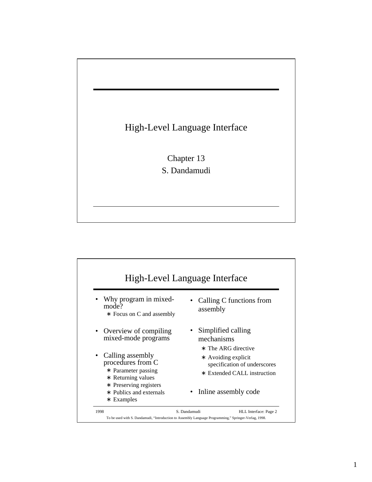

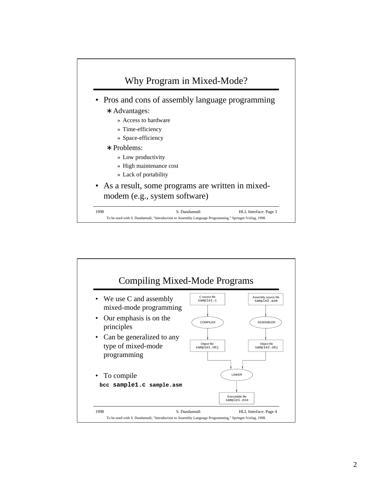

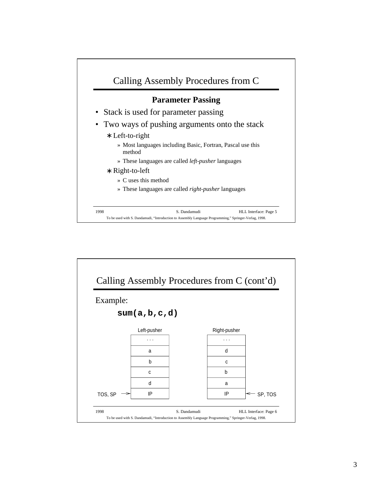

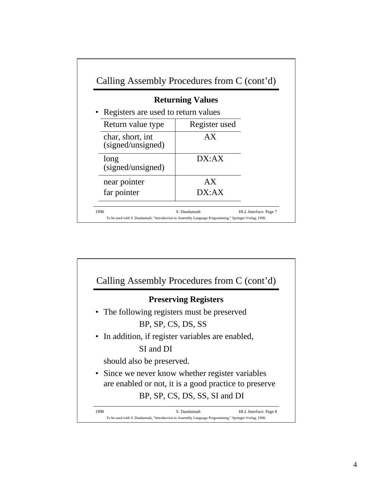| <b>Returning Values</b>               |               |
|---------------------------------------|---------------|
| • Registers are used to return values |               |
| Return value type                     | Register used |
| char, short, int<br>(signed/unsigned) | AX            |
| long<br>(signed/unsigned)             | DX:AX         |
| near pointer                          | AX            |
| far pointer                           | DX:AX         |

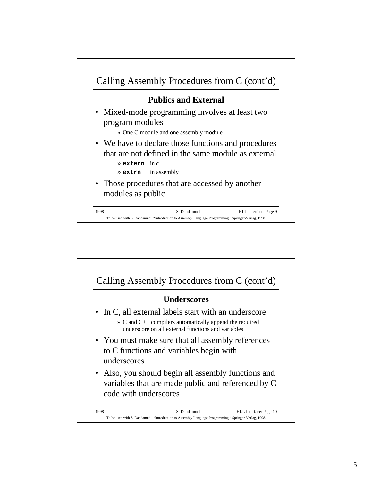

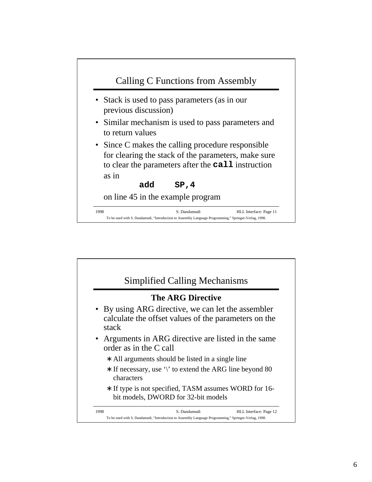

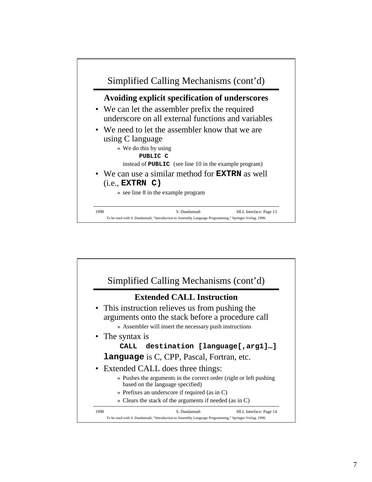

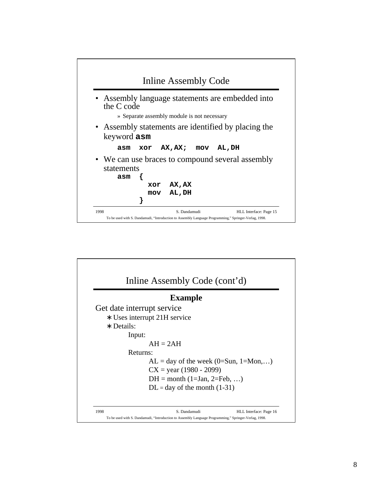